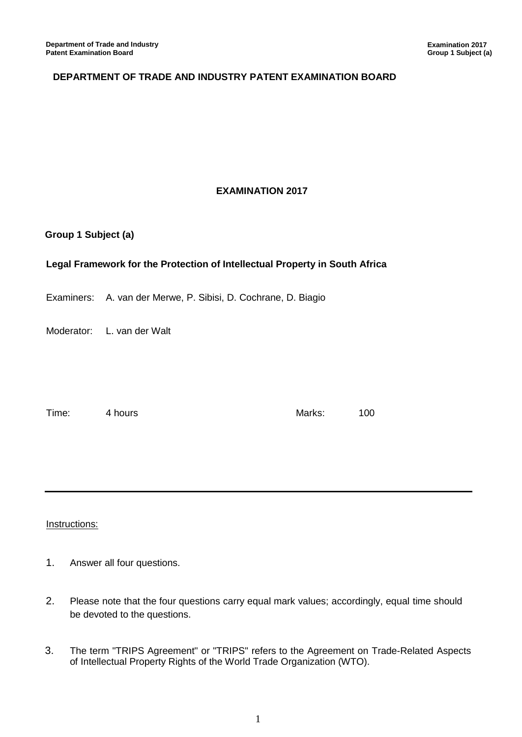## **DEPARTMENT OF TRADE AND INDUSTRY PATENT EXAMINATION BOARD**

## **EXAMINATION 2017**

### **Group 1 Subject (a)**

### **Legal Framework for the Protection of Intellectual Property in South Africa**

Examiners: A. van der Merwe, P. Sibisi, D. Cochrane, D. Biagio

Moderator: L. van der Walt

Time: 4 hours and 100

#### Instructions:

- 1. Answer all four questions.
- 2. Please note that the four questions carry equal mark values; accordingly, equal time should be devoted to the questions.
- 3. The term "TRIPS Agreement" or "TRIPS" refers to the Agreement on Trade-Related Aspects of Intellectual Property Rights of the World Trade Organization (WTO).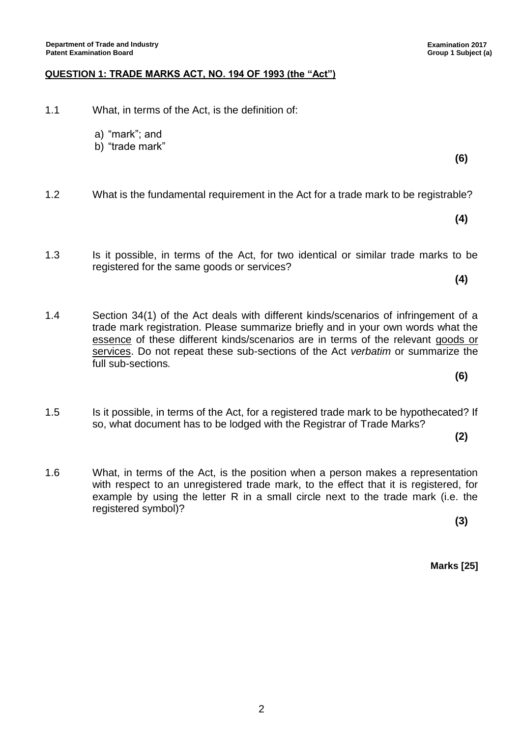# **QUESTION 1: TRADE MARKS ACT, NO. 194 OF 1993 (the "Act")**

- 1.1 What, in terms of the Act, is the definition of:
	- a) "mark"; and
	- b) "trade mark"
- 1.2 What is the fundamental requirement in the Act for a trade mark to be registrable?
- 1.3 Is it possible, in terms of the Act, for two identical or similar trade marks to be registered for the same goods or services?
- 1.4 Section 34(1) of the Act deals with different kinds/scenarios of infringement of a trade mark registration. Please summarize briefly and in your own words what the essence of these different kinds/scenarios are in terms of the relevant goods or services. Do not repeat these sub-sections of the Act *verbatim* or summarize the full sub-sections*.*
- 1.5 Is it possible, in terms of the Act, for a registered trade mark to be hypothecated? If so, what document has to be lodged with the Registrar of Trade Marks?
- 1.6 What, in terms of the Act, is the position when a person makes a representation with respect to an unregistered trade mark, to the effect that it is registered, for example by using the letter R in a small circle next to the trade mark (i.e. the registered symbol)?

2

**(3)**

**Marks [25]**

**Examination 2017 Group 1 Subject (a)**

**(6)**

**(4)**

**(4)**

**(6)**

**(2)**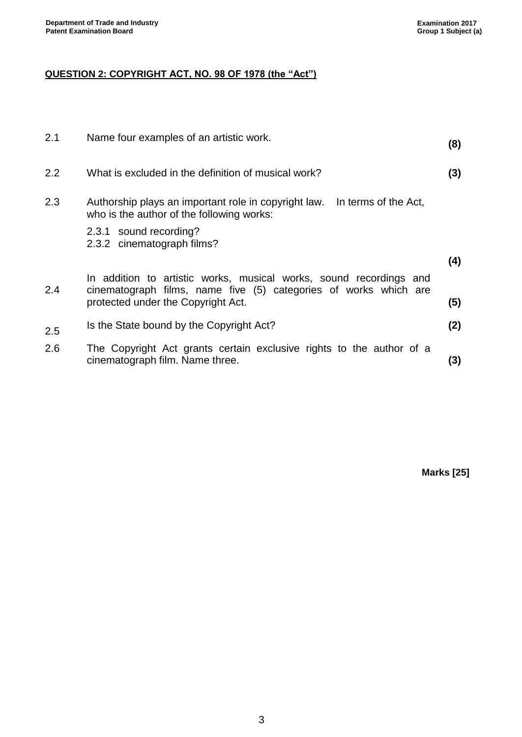# **QUESTION 2: COPYRIGHT ACT, NO. 98 OF 1978 (the "Act")**

| 2.1 | Name four examples of an artistic work.                                                                                                | (8) |
|-----|----------------------------------------------------------------------------------------------------------------------------------------|-----|
| 2.2 | What is excluded in the definition of musical work?                                                                                    | (3) |
| 2.3 | Authorship plays an important role in copyright law. In terms of the Act,<br>who is the author of the following works:                 |     |
|     | 2.3.1 sound recording?<br>2.3.2 cinematograph films?                                                                                   |     |
|     |                                                                                                                                        | (4) |
| 2.4 | In addition to artistic works, musical works, sound recordings and<br>cinematograph films, name five (5) categories of works which are |     |
|     | protected under the Copyright Act.                                                                                                     | (5) |
| 2.5 | Is the State bound by the Copyright Act?                                                                                               | (2) |
| 2.6 | The Copyright Act grants certain exclusive rights to the author of a<br>cinematograph film. Name three.                                | (3) |

**Marks [25]**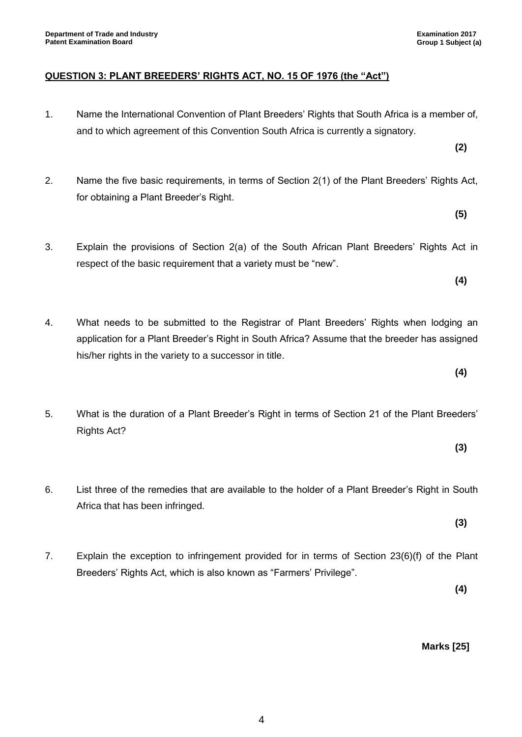- 1. Name the International Convention of Plant Breeders' Rights that South Africa is a member of, and to which agreement of this Convention South Africa is currently a signatory.
- 2. Name the five basic requirements, in terms of Section 2(1) of the Plant Breeders' Rights Act, for obtaining a Plant Breeder's Right.
- 3. Explain the provisions of Section 2(a) of the South African Plant Breeders' Rights Act in respect of the basic requirement that a variety must be "new".
- 4. What needs to be submitted to the Registrar of Plant Breeders' Rights when lodging an application for a Plant Breeder's Right in South Africa? Assume that the breeder has assigned his/her rights in the variety to a successor in title.
- 5. What is the duration of a Plant Breeder's Right in terms of Section 21 of the Plant Breeders' Rights Act?
- 6. List three of the remedies that are available to the holder of a Plant Breeder's Right in South Africa that has been infringed.
- 7. Explain the exception to infringement provided for in terms of Section 23(6)(f) of the Plant Breeders' Rights Act, which is also known as "Farmers' Privilege".

**(4)**

**(2)**

**(5)**

**(4)**

**(3)**

**(3)**

**(4)**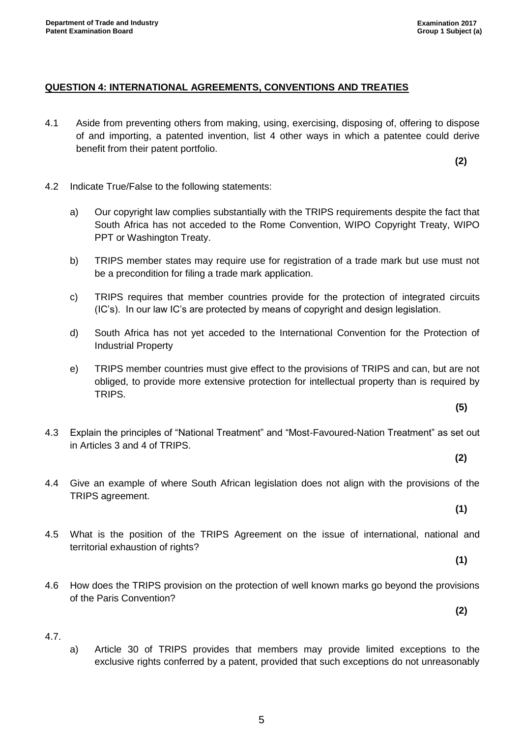## **QUESTION 4: INTERNATIONAL AGREEMENTS, CONVENTIONS AND TREATIES**

4.1 Aside from preventing others from making, using, exercising, disposing of, offering to dispose of and importing, a patented invention, list 4 other ways in which a patentee could derive benefit from their patent portfolio.

**(2)**

- 4.2 Indicate True/False to the following statements:
	- a) Our copyright law complies substantially with the TRIPS requirements despite the fact that South Africa has not acceded to the Rome Convention, WIPO Copyright Treaty, WIPO PPT or Washington Treaty.
	- b) TRIPS member states may require use for registration of a trade mark but use must not be a precondition for filing a trade mark application.
	- c) TRIPS requires that member countries provide for the protection of integrated circuits (IC's). In our law IC's are protected by means of copyright and design legislation.
	- d) South Africa has not yet acceded to the International Convention for the Protection of Industrial Property
	- e) TRIPS member countries must give effect to the provisions of TRIPS and can, but are not obliged, to provide more extensive protection for intellectual property than is required by TRIPS.
- 4.3 Explain the principles of "National Treatment" and "Most-Favoured-Nation Treatment" as set out in Articles 3 and 4 of TRIPS.
	- **(2)**

**(5)**

- 4.4 Give an example of where South African legislation does not align with the provisions of the TRIPS agreement.
- 4.5 What is the position of the TRIPS Agreement on the issue of international, national and territorial exhaustion of rights?
- 4.6 How does the TRIPS provision on the protection of well known marks go beyond the provisions of the Paris Convention?

4.7.

a) Article 30 of TRIPS provides that members may provide limited exceptions to the exclusive rights conferred by a patent, provided that such exceptions do not unreasonably

**(1)**

**(1)**

**(2)**